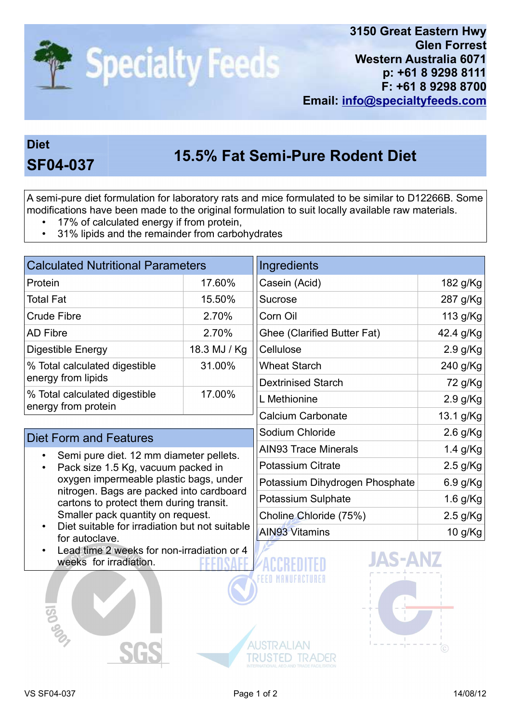

## Diet

## 15.5% Fat Semi-Pure Rodent Diet SF04-037

A semi-pure diet formulation for laboratory rats and mice formulated to be similar to D12266B. Some modifications have been made to the original formulation to suit locally available raw materials.

- 17% of calculated energy if from protein,<br>• 31% lipids and the remainder from carbo
- 31% lipids and the remainder from carbohydrates

| <b>Calculated Nutritional Parameters</b>                                                                                                                                                                                                                                                                                     |              | Ingredients                        |            |  |
|------------------------------------------------------------------------------------------------------------------------------------------------------------------------------------------------------------------------------------------------------------------------------------------------------------------------------|--------------|------------------------------------|------------|--|
| Protein                                                                                                                                                                                                                                                                                                                      | 17.60%       | Casein (Acid)                      | 182 g/Kg   |  |
| <b>Total Fat</b>                                                                                                                                                                                                                                                                                                             | 15.50%       | Sucrose                            | 287 g/Kg   |  |
| <b>Crude Fibre</b>                                                                                                                                                                                                                                                                                                           | 2.70%        | Corn Oil                           | 113 g/Kg   |  |
| <b>AD Fibre</b>                                                                                                                                                                                                                                                                                                              | 2.70%        | <b>Ghee (Clarified Butter Fat)</b> | 42.4 g/Kg  |  |
| Digestible Energy                                                                                                                                                                                                                                                                                                            | 18.3 MJ / Kg | Cellulose                          | 2.9 g/Kg   |  |
| % Total calculated digestible<br>energy from lipids                                                                                                                                                                                                                                                                          | 31.00%       | <b>Wheat Starch</b>                | 240 g/Kg   |  |
|                                                                                                                                                                                                                                                                                                                              |              | <b>Dextrinised Starch</b>          | 72 g/Kg    |  |
| % Total calculated digestible<br>energy from protein                                                                                                                                                                                                                                                                         | 17.00%       | L Methionine                       | 2.9 g/Kg   |  |
|                                                                                                                                                                                                                                                                                                                              |              | <b>Calcium Carbonate</b>           | 13.1 g/Kg  |  |
| <b>Diet Form and Features</b>                                                                                                                                                                                                                                                                                                |              | Sodium Chloride                    | 2.6 g/Kg   |  |
| Semi pure diet. 12 mm diameter pellets.<br>Pack size 1.5 Kg, vacuum packed in<br>oxygen impermeable plastic bags, under<br>nitrogen. Bags are packed into cardboard<br>cartons to protect them during transit.<br>Smaller pack quantity on request.<br>Diet suitable for irradiation but not suitable<br>٠<br>for autoclave. |              | <b>AIN93 Trace Minerals</b>        | 1.4 g/Kg   |  |
|                                                                                                                                                                                                                                                                                                                              |              | <b>Potassium Citrate</b>           | $2.5$ g/Kg |  |
|                                                                                                                                                                                                                                                                                                                              |              | Potassium Dihydrogen Phosphate     | 6.9 g/Kg   |  |
|                                                                                                                                                                                                                                                                                                                              |              | Potassium Sulphate                 | 1.6 g/Kg   |  |
|                                                                                                                                                                                                                                                                                                                              |              | Choline Chloride (75%)             | $2.5$ g/Kg |  |
|                                                                                                                                                                                                                                                                                                                              |              | <b>AIN93 Vitamins</b>              | 10 g/Kg    |  |
| Lead time 2 weeks for non-irradiation or 4<br>weeks for irradiation.                                                                                                                                                                                                                                                         |              | IAS-AI                             |            |  |
|                                                                                                                                                                                                                                                                                                                              |              |                                    |            |  |